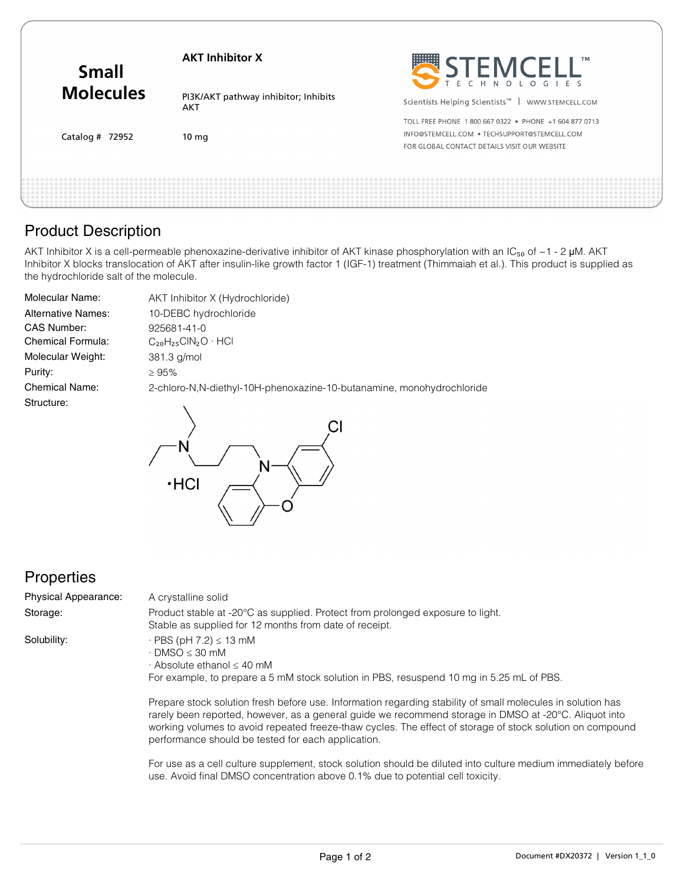| <b>Small</b><br><b>Molecules</b> | <b>AKT Inhibitor X</b>                      | STEMCELL"<br>ТM                                                  |
|----------------------------------|---------------------------------------------|------------------------------------------------------------------|
|                                  | PI3K/AKT pathway inhibitor; Inhibits<br>AKT | Scientists Helping Scientists <sup>™</sup>  <br>WWW.STEMCELL.COM |
| Catalog $#$ 72952                | 10 <sub>mg</sub>                            | TOLL FREE PHONE 1800 667 0322 . PHONE +1 604 877 0713            |
|                                  |                                             | INFO@STEMCELL.COM . TECHSUPPORT@STEMCELL.COM                     |
|                                  |                                             | FOR GLOBAL CONTACT DETAILS VISIT OUR WEBSITE                     |
|                                  |                                             |                                                                  |
|                                  |                                             |                                                                  |
|                                  |                                             |                                                                  |

## Product Description

AKT Inhibitor X is a cell-permeable phenoxazine-derivative inhibitor of AKT kinase phosphorylation with an IC<sub>50</sub> of ~1 - 2 µM. AKT Inhibitor X blocks translocation of AKT after insulin-like growth factor 1 (IGF-1) treatment (Thimmaiah et al.). This product is supplied as the hydrochloride salt of the molecule.

| Molecular Name:           | AKT Inhibitor X (Hydrochloride)                                       |  |
|---------------------------|-----------------------------------------------------------------------|--|
| <b>Alternative Names:</b> | 10-DEBC hydrochloride                                                 |  |
| CAS Number:               | 925681-41-0                                                           |  |
| Chemical Formula:         | $C_{20}H_{25}CIN_2O \cdot HCl$                                        |  |
| Molecular Weight:         | $381.3$ g/mol                                                         |  |
| Purity:                   | $\geq 95\%$                                                           |  |
| <b>Chemical Name:</b>     | 2-chloro-N.N-diethyl-10H-phenoxazine-10-butanamine, monohydrochloride |  |
| Structure:                |                                                                       |  |



## **Properties**

A crystalline solid Storage: Product stable at -20°C as supplied. Protect from prolonged exposure to light. Stable as supplied for 12 months from date of receipt.  $\cdot$  PBS (pH 7.2)  $\leq$  13 mM  $\cdot$  DMSO  $\leq$  30 mM · Absolute ethanol ≤ 40 mM For example, to prepare a 5 mM stock solution in PBS, resuspend 10 mg in 5.25 mL of PBS. Physical Appearance: Solubility:

> Prepare stock solution fresh before use. Information regarding stability of small molecules in solution has rarely been reported, however, as a general guide we recommend storage in DMSO at -20°C. Aliquot into working volumes to avoid repeated freeze-thaw cycles. The effect of storage of stock solution on compound performance should be tested for each application.

For use as a cell culture supplement, stock solution should be diluted into culture medium immediately before use. Avoid final DMSO concentration above 0.1% due to potential cell toxicity.